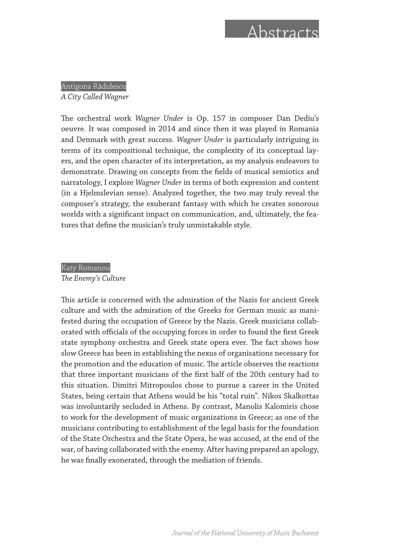## Abstracts

Antigona Rădulescu *A City Called Wagner*

The orchestral work *Wagner Under* is Op. 157 in composer Dan Dediu's oeuvre. It was composed in 2014 and since then it was played in Romania and Denmark with great success. *Wagner Under* is particularly intriguing in terms of its compositional technique, the complexity of its conceptual layers, and the open character of its interpretation, as my analysis endeavors to demonstrate. Drawing on concepts from the fields of musical semiotics and narratology, I explore *Wagner Under* in terms of both expression and content (in a Hjelmslevian sense). Analyzed together, the two may truly reveal the composer's strategy, the exuberant fantasy with which he creates sonorous worlds with a significant impact on communication, and, ultimately, the features that define the musician's truly unmistakable style.

## Katy Romanou

*The Enemy's Culture*

This article is concerned with the admiration of the Nazis for ancient Greek culture and with the admiration of the Greeks for German music as manifested during the occupation of Greece by the Nazis. Greek musicians collaborated with officials of the occupying forces in order to found the first Greek state symphony orchestra and Greek state opera ever. The fact shows how slow Greece has been in establishing the nexus of organisations necessary for the promotion and the education of music. The article observes the reactions that three important musicians of the first half of the 20th century had to this situation. Dimitri Mitropoulos chose to pursue a career in the United States, being certain that Athens would be his "total ruin". Nikos Skalkottas was involuntarily secluded in Athens. By contrast, Manolis Kalomiris chose to work for the development of music organizations in Greece; as one of the musicians contributing to establishment of the legal basis for the foundation of the State Orchestra and the State Opera, he was accused, at the end of the war, of having collaborated with the enemy. After having prepared an apology, he was finally exonerated, through the mediation of friends.